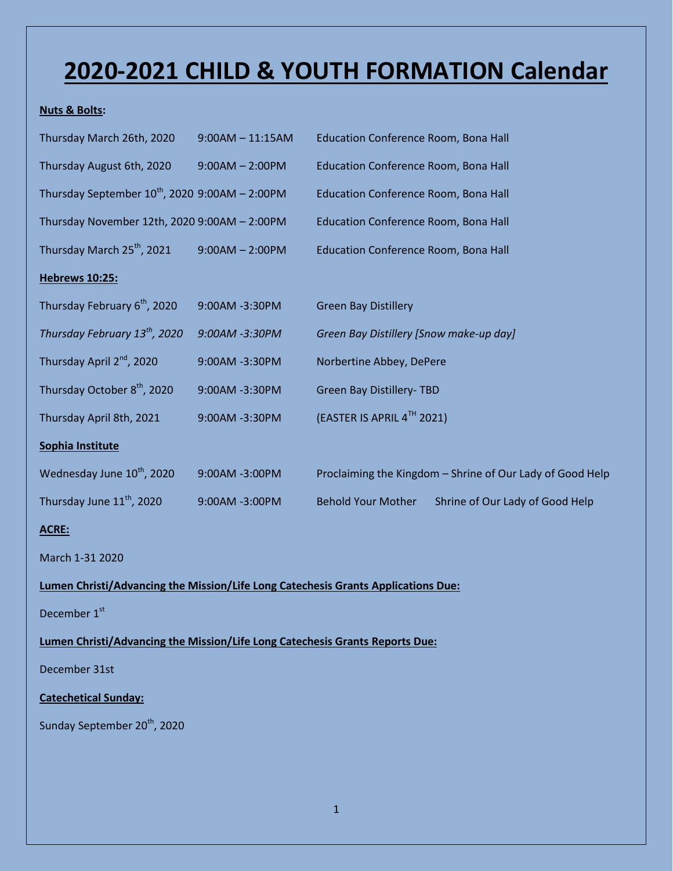## **2020-2021 CHILD & YOUTH FORMATION Calendar**

## **Nuts & Bolts:**

| Thursday March 26th, 2020                                                         | $9:00AM - 11:15AM$ | Education Conference Room, Bona Hall                         |  |  |  |
|-----------------------------------------------------------------------------------|--------------------|--------------------------------------------------------------|--|--|--|
| Thursday August 6th, 2020                                                         | $9:00AM - 2:00PM$  | Education Conference Room, Bona Hall                         |  |  |  |
| Thursday September $10^{th}$ , 2020 9:00AM - 2:00PM                               |                    | <b>Education Conference Room, Bona Hall</b>                  |  |  |  |
| Thursday November 12th, 2020 9:00AM - 2:00PM                                      |                    | Education Conference Room, Bona Hall                         |  |  |  |
| Thursday March 25 <sup>th</sup> , 2021                                            | $9:00AM - 2:00PM$  | Education Conference Room, Bona Hall                         |  |  |  |
| <b>Hebrews 10:25:</b>                                                             |                    |                                                              |  |  |  |
| Thursday February 6 <sup>th</sup> , 2020                                          | 9:00AM -3:30PM     | <b>Green Bay Distillery</b>                                  |  |  |  |
| Thursday February 13 <sup>th</sup> , 2020                                         | 9:00AM -3:30PM     | Green Bay Distillery [Snow make-up day]                      |  |  |  |
| Thursday April 2 <sup>nd</sup> , 2020                                             | 9:00AM -3:30PM     | Norbertine Abbey, DePere                                     |  |  |  |
| Thursday October 8 <sup>th</sup> , 2020                                           | 9:00AM -3:30PM     | <b>Green Bay Distillery-TBD</b>                              |  |  |  |
| Thursday April 8th, 2021                                                          | 9:00AM -3:30PM     | (EASTER IS APRIL 4TH 2021)                                   |  |  |  |
| Sophia Institute                                                                  |                    |                                                              |  |  |  |
| Wednesday June 10 <sup>th</sup> , 2020                                            | 9:00AM -3:00PM     | Proclaiming the Kingdom - Shrine of Our Lady of Good Help    |  |  |  |
| Thursday June 11 <sup>th</sup> , 2020                                             | 9:00AM -3:00PM     | <b>Behold Your Mother</b><br>Shrine of Our Lady of Good Help |  |  |  |
| ACRE:                                                                             |                    |                                                              |  |  |  |
| March 1-31 2020                                                                   |                    |                                                              |  |  |  |
| Lumen Christi/Advancing the Mission/Life Long Catechesis Grants Applications Due: |                    |                                                              |  |  |  |
| December 1st                                                                      |                    |                                                              |  |  |  |
| Lumen Christi/Advancing the Mission/Life Long Catechesis Grants Reports Due:      |                    |                                                              |  |  |  |
| December 31st                                                                     |                    |                                                              |  |  |  |
| <b>Catechetical Sunday:</b>                                                       |                    |                                                              |  |  |  |
| Sunday September 20 <sup>th</sup> , 2020                                          |                    |                                                              |  |  |  |
|                                                                                   |                    |                                                              |  |  |  |
|                                                                                   |                    |                                                              |  |  |  |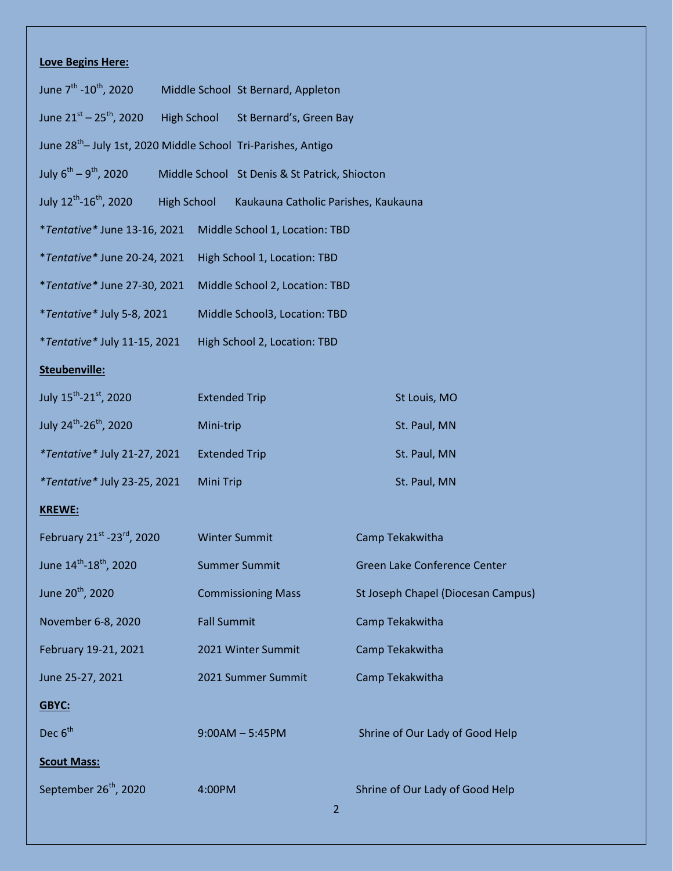## **Love Begins Here:**

| June $7^{\text{th}}$ -10 <sup>th</sup> , 2020                            |                    |                                | Middle School St Bernard, Appleton            |                |                                    |  |
|--------------------------------------------------------------------------|--------------------|--------------------------------|-----------------------------------------------|----------------|------------------------------------|--|
| June $21^{st}$ – $25^{th}$ , 2020                                        | High School        |                                | St Bernard's, Green Bay                       |                |                                    |  |
| June 28 <sup>th</sup> -July 1st, 2020 Middle School Tri-Parishes, Antigo |                    |                                |                                               |                |                                    |  |
| July $6^{th} - 9^{th}$ , 2020                                            |                    |                                | Middle School St Denis & St Patrick, Shiocton |                |                                    |  |
| July 12 <sup>th</sup> -16 <sup>th</sup> , 2020                           | <b>High School</b> |                                | Kaukauna Catholic Parishes, Kaukauna          |                |                                    |  |
| *Tentative* June 13-16, 2021                                             |                    | Middle School 1, Location: TBD |                                               |                |                                    |  |
| *Tentative* June 20-24, 2021                                             |                    | High School 1, Location: TBD   |                                               |                |                                    |  |
| *Tentative* June 27-30, 2021                                             |                    | Middle School 2, Location: TBD |                                               |                |                                    |  |
| *Tentative* July 5-8, 2021                                               |                    | Middle School3, Location: TBD  |                                               |                |                                    |  |
| *Tentative* July 11-15, 2021                                             |                    | High School 2, Location: TBD   |                                               |                |                                    |  |
| Steubenville:                                                            |                    |                                |                                               |                |                                    |  |
| July 15 <sup>th</sup> -21 <sup>st</sup> , 2020                           |                    | <b>Extended Trip</b>           |                                               |                | St Louis, MO                       |  |
| July 24 <sup>th</sup> -26 <sup>th</sup> , 2020                           |                    | Mini-trip                      |                                               |                | St. Paul, MN                       |  |
| *Tentative* July 21-27, 2021                                             |                    |                                | <b>Extended Trip</b>                          |                | St. Paul, MN                       |  |
| <i>*Tentative* July 23-25, 2021</i>                                      |                    | <b>Mini Trip</b>               |                                               |                | St. Paul, MN                       |  |
| <b>KREWE:</b>                                                            |                    |                                |                                               |                |                                    |  |
| February 21st -23rd, 2020                                                |                    |                                | <b>Winter Summit</b>                          |                | Camp Tekakwitha                    |  |
| June $14^{\text{th}} - 18^{\text{th}}$ , 2020                            |                    | <b>Summer Summit</b>           |                                               |                | Green Lake Conference Center       |  |
| June 20 <sup>th</sup> , 2020                                             |                    | <b>Commissioning Mass</b>      |                                               |                | St Joseph Chapel (Diocesan Campus) |  |
| November 6-8, 2020                                                       |                    | <b>Fall Summit</b>             |                                               |                | Camp Tekakwitha                    |  |
| February 19-21, 2021                                                     | 2021 Winter Summit |                                |                                               |                | Camp Tekakwitha                    |  |
| June 25-27, 2021                                                         |                    |                                | 2021 Summer Summit                            |                | Camp Tekakwitha                    |  |
| GBYC:                                                                    |                    |                                |                                               |                |                                    |  |
| Dec 6 <sup>th</sup>                                                      |                    |                                | $9:00AM - 5:45PM$                             |                | Shrine of Our Lady of Good Help    |  |
| <b>Scout Mass:</b>                                                       |                    |                                |                                               |                |                                    |  |
| September 26 <sup>th</sup> , 2020                                        |                    | 4:00PM                         |                                               | $\overline{2}$ | Shrine of Our Lady of Good Help    |  |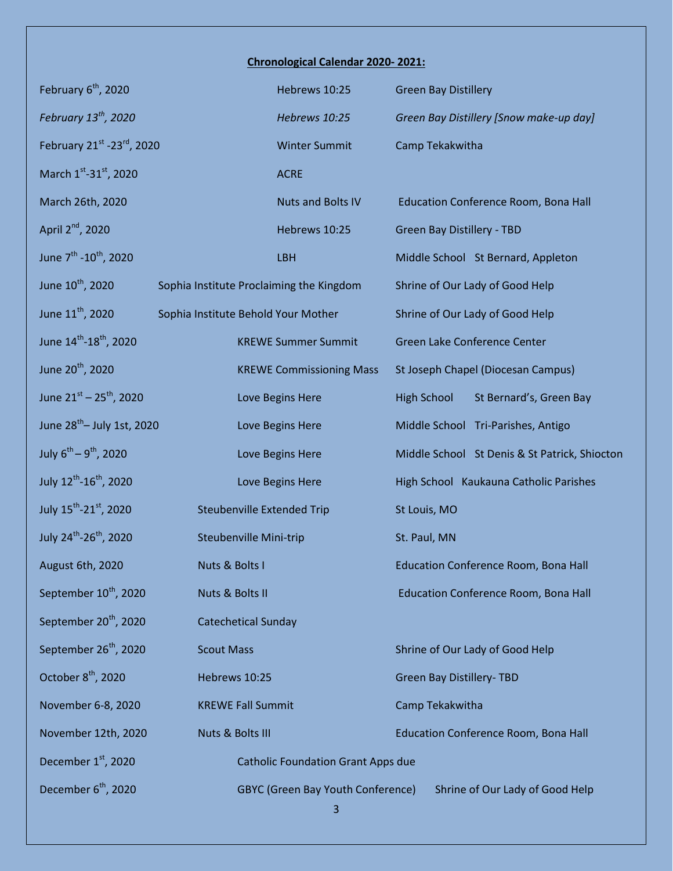## **Chronological Calendar 2020- 2021:**

| February 6 <sup>th</sup> , 2020                |                                          | Hebrews 10:25                             | <b>Green Bay Distillery</b>       |                                               |
|------------------------------------------------|------------------------------------------|-------------------------------------------|-----------------------------------|-----------------------------------------------|
| February 13 <sup>th</sup> , 2020               |                                          | Hebrews 10:25                             |                                   | Green Bay Distillery [Snow make-up day]       |
| February 21st -23rd, 2020                      |                                          | <b>Winter Summit</b>                      | Camp Tekakwitha                   |                                               |
| March 1st-31st, 2020                           |                                          | <b>ACRE</b>                               |                                   |                                               |
| March 26th, 2020                               |                                          | <b>Nuts and Bolts IV</b>                  |                                   | Education Conference Room, Bona Hall          |
| April 2 <sup>nd</sup> , 2020                   |                                          | Hebrews 10:25                             | <b>Green Bay Distillery - TBD</b> |                                               |
| June 7 <sup>th</sup> -10 <sup>th</sup> , 2020  |                                          | LBH                                       |                                   | Middle School St Bernard, Appleton            |
| June 10 <sup>th</sup> , 2020                   | Sophia Institute Proclaiming the Kingdom |                                           |                                   | Shrine of Our Lady of Good Help               |
| June 11 <sup>th</sup> , 2020                   | Sophia Institute Behold Your Mother      |                                           |                                   | Shrine of Our Lady of Good Help               |
| June 14 <sup>th</sup> -18 <sup>th</sup> , 2020 |                                          | <b>KREWE Summer Summit</b>                |                                   | Green Lake Conference Center                  |
| June 20 <sup>th</sup> , 2020                   |                                          | <b>KREWE Commissioning Mass</b>           |                                   | St Joseph Chapel (Diocesan Campus)            |
| June $21^{st} - 25^{th}$ , 2020                |                                          | Love Begins Here                          | <b>High School</b>                | St Bernard's, Green Bay                       |
| June $28^{th}$ – July 1st, 2020                |                                          | Love Begins Here                          |                                   | Middle School Tri-Parishes, Antigo            |
| July $6^{th} - 9^{th}$ , 2020                  |                                          | Love Begins Here                          |                                   | Middle School St Denis & St Patrick, Shiocton |
| July 12 <sup>th</sup> -16 <sup>th</sup> , 2020 |                                          | Love Begins Here                          |                                   | High School Kaukauna Catholic Parishes        |
| July 15 <sup>th</sup> -21 <sup>st</sup> , 2020 | <b>Steubenville Extended Trip</b>        |                                           | St Louis, MO                      |                                               |
| July 24 <sup>th</sup> -26 <sup>th</sup> , 2020 | <b>Steubenville Mini-trip</b>            |                                           | St. Paul, MN                      |                                               |
| August 6th, 2020                               | Nuts & Bolts I                           |                                           |                                   | Education Conference Room, Bona Hall          |
| September 10 <sup>th</sup> , 2020              | Nuts & Bolts II                          |                                           |                                   | Education Conference Room, Bona Hall          |
| September 20 <sup>th</sup> , 2020              | <b>Catechetical Sunday</b>               |                                           |                                   |                                               |
| September 26 <sup>th</sup> , 2020              | <b>Scout Mass</b>                        |                                           |                                   | Shrine of Our Lady of Good Help               |
| October 8 <sup>th</sup> , 2020                 | Hebrews 10:25                            |                                           | <b>Green Bay Distillery-TBD</b>   |                                               |
| November 6-8, 2020                             | <b>KREWE Fall Summit</b>                 |                                           | Camp Tekakwitha                   |                                               |
| November 12th, 2020                            | Nuts & Bolts III                         |                                           |                                   | Education Conference Room, Bona Hall          |
| December 1 <sup>st</sup> , 2020                |                                          | <b>Catholic Foundation Grant Apps due</b> |                                   |                                               |
| December 6 <sup>th</sup> , 2020                |                                          | <b>GBYC (Green Bay Youth Conference)</b>  |                                   | Shrine of Our Lady of Good Help               |
|                                                |                                          |                                           |                                   |                                               |